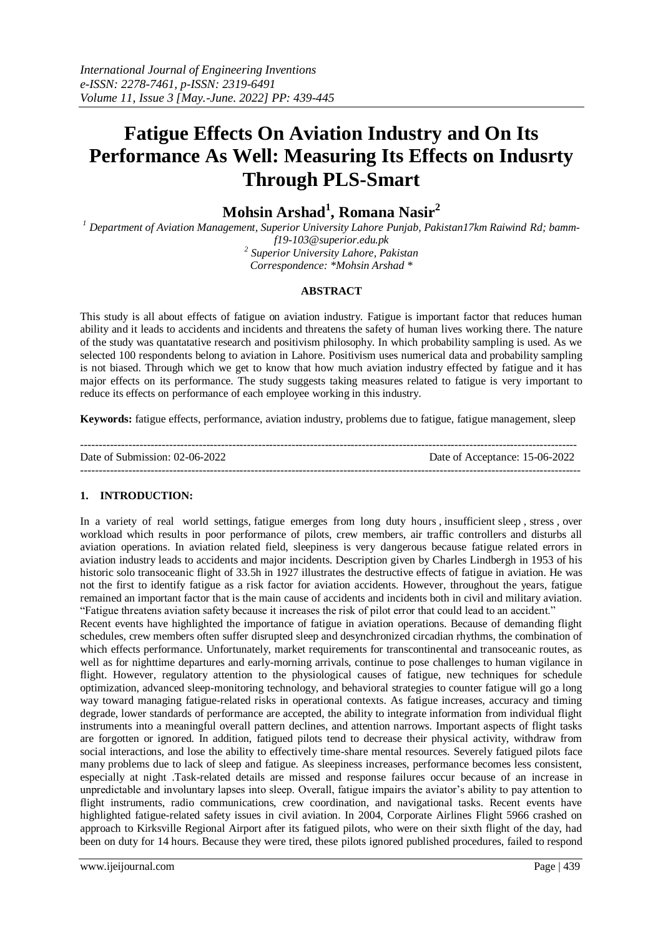# **Fatigue Effects On Aviation Industry and On Its Performance As Well: Measuring Its Effects on Indusrty Through PLS-Smart**

# **Mohsin Arshad<sup>1</sup> , Romana Nasir<sup>2</sup>**

*<sup>1</sup> Department of Aviation Management, Superior University Lahore Punjab, Pakistan17km Raiwind Rd; bammf19-103@superior.edu.pk 2 Superior University Lahore, Pakistan*

*Correspondence: \*Mohsin Arshad \**

#### **ABSTRACT**

This study is all about effects of fatigue on aviation industry. Fatigue is important factor that reduces human ability and it leads to accidents and incidents and threatens the safety of human lives working there. The nature of the study was quantatative research and positivism philosophy. In which probability sampling is used. As we selected 100 respondents belong to aviation in Lahore. Positivism uses numerical data and probability sampling is not biased. Through which we get to know that how much aviation industry effected by fatigue and it has major effects on its performance. The study suggests taking measures related to fatigue is very important to reduce its effects on performance of each employee working in this industry.

**Keywords:** fatigue effects, performance, aviation industry, problems due to fatigue, fatigue management, sleep

| Date of Submission: $02-06-2022$ | Date of Acceptance: 15-06-2022 |
|----------------------------------|--------------------------------|
|                                  |                                |

#### **1. INTRODUCTION:**

In a variety of real world settings, fatigue emerges from long duty hours , insufficient sleep , stress , over workload which results in poor performance of pilots, crew members, air traffic controllers and disturbs all aviation operations. In aviation related field, sleepiness is very dangerous because fatigue related errors in aviation industry leads to accidents and major incidents. Description given by Charles Lindbergh in 1953 of his historic solo transoceanic flight of 33.5h in 1927 illustrates the destructive effects of fatigue in aviation. He was not the first to identify fatigue as a risk factor for aviation accidents. However, throughout the years, fatigue remained an important factor that is the main cause of accidents and incidents both in civil and military aviation. "Fatigue threatens aviation safety because it increases the risk of pilot error that could lead to an accident."

Recent events have highlighted the importance of fatigue in aviation operations. Because of demanding flight schedules, crew members often suffer disrupted sleep and desynchronized circadian rhythms, the combination of which effects performance. Unfortunately, market requirements for transcontinental and transoceanic routes, as well as for nighttime departures and early-morning arrivals, continue to pose challenges to human vigilance in flight. However, regulatory attention to the physiological causes of fatigue, new techniques for schedule optimization, advanced sleep-monitoring technology, and behavioral strategies to counter fatigue will go a long way toward managing fatigue-related risks in operational contexts. As fatigue increases, accuracy and timing degrade, lower standards of performance are accepted, the ability to integrate information from individual flight instruments into a meaningful overall pattern declines, and attention narrows. Important aspects of flight tasks are forgotten or ignored. In addition, fatigued pilots tend to decrease their physical activity, withdraw from social interactions, and lose the ability to effectively time-share mental resources. Severely fatigued pilots face many problems due to lack of sleep and fatigue. As sleepiness increases, performance becomes less consistent, especially at night .Task-related details are missed and response failures occur because of an increase in unpredictable and involuntary lapses into sleep. Overall, fatigue impairs the aviator's ability to pay attention to flight instruments, radio communications, crew coordination, and navigational tasks. Recent events have highlighted fatigue-related safety issues in civil aviation. In 2004, Corporate Airlines Flight 5966 crashed on approach to Kirksville Regional Airport after its fatigued pilots, who were on their sixth flight of the day, had been on duty for 14 hours. Because they were tired, these pilots ignored published procedures, failed to respond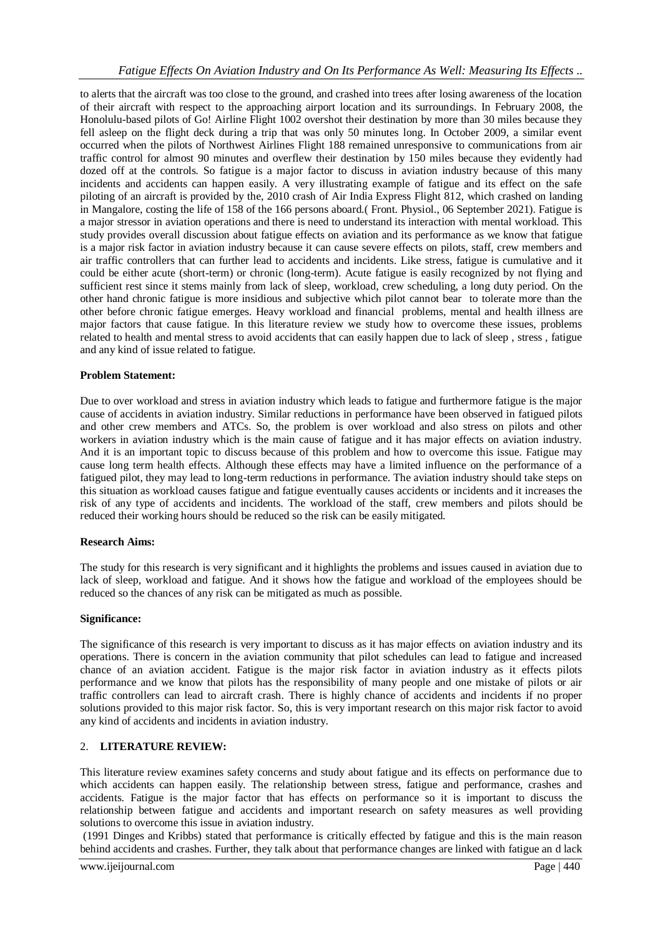to alerts that the aircraft was too close to the ground, and crashed into trees after losing awareness of the location of their aircraft with respect to the approaching airport location and its surroundings. In February 2008, the Honolulu-based pilots of Go! Airline Flight 1002 overshot their destination by more than 30 miles because they fell asleep on the flight deck during a trip that was only 50 minutes long. In October 2009, a similar event occurred when the pilots of Northwest Airlines Flight 188 remained unresponsive to communications from air traffic control for almost 90 minutes and overflew their destination by 150 miles because they evidently had dozed off at the controls. So fatigue is a major factor to discuss in aviation industry because of this many incidents and accidents can happen easily. A very illustrating example of fatigue and its effect on the safe piloting of an aircraft is provided by the, 2010 crash of Air India Express Flight 812, which crashed on landing in Mangalore, costing the life of 158 of the 166 persons aboard.( Front. Physiol., 06 September 2021). Fatigue is a major stressor in aviation operations and there is need to understand its interaction with mental workload. This study provides overall discussion about fatigue effects on aviation and its performance as we know that fatigue is a major risk factor in aviation industry because it can cause severe effects on pilots, staff, crew members and air traffic controllers that can further lead to accidents and incidents. Like stress, fatigue is cumulative and it could be either acute (short-term) or chronic (long-term). Acute fatigue is easily recognized by not flying and sufficient rest since it stems mainly from lack of sleep, workload, crew scheduling, a long duty period. On the other hand chronic fatigue is more insidious and subjective which pilot cannot bear to tolerate more than the other before chronic fatigue emerges. Heavy workload and financial problems, mental and health illness are major factors that cause fatigue. In this literature review we study how to overcome these issues, problems related to health and mental stress to avoid accidents that can easily happen due to lack of sleep , stress , fatigue and any kind of issue related to fatigue.

#### **Problem Statement:**

Due to over workload and stress in aviation industry which leads to fatigue and furthermore fatigue is the major cause of accidents in aviation industry. Similar reductions in performance have been observed in fatigued pilots and other crew members and ATCs. So, the problem is over workload and also stress on pilots and other workers in aviation industry which is the main cause of fatigue and it has major effects on aviation industry. And it is an important topic to discuss because of this problem and how to overcome this issue. Fatigue may cause long term health effects. Although these effects may have a limited influence on the performance of a fatigued pilot, they may lead to long-term reductions in performance. The aviation industry should take steps on this situation as workload causes fatigue and fatigue eventually causes accidents or incidents and it increases the risk of any type of accidents and incidents. The workload of the staff, crew members and pilots should be reduced their working hours should be reduced so the risk can be easily mitigated.

#### **Research Aims:**

The study for this research is very significant and it highlights the problems and issues caused in aviation due to lack of sleep, workload and fatigue. And it shows how the fatigue and workload of the employees should be reduced so the chances of any risk can be mitigated as much as possible.

#### **Significance:**

The significance of this research is very important to discuss as it has major effects on aviation industry and its operations. There is concern in the aviation community that pilot schedules can lead to fatigue and increased chance of an aviation accident. Fatigue is the major risk factor in aviation industry as it effects pilots performance and we know that pilots has the responsibility of many people and one mistake of pilots or air traffic controllers can lead to aircraft crash. There is highly chance of accidents and incidents if no proper solutions provided to this major risk factor. So, this is very important research on this major risk factor to avoid any kind of accidents and incidents in aviation industry.

#### 2. **LITERATURE REVIEW:**

This literature review examines safety concerns and study about fatigue and its effects on performance due to which accidents can happen easily. The relationship between stress, fatigue and performance, crashes and accidents. Fatigue is the major factor that has effects on performance so it is important to discuss the relationship between fatigue and accidents and important research on safety measures as well providing solutions to overcome this issue in aviation industry.

(1991 Dinges and Kribbs) stated that performance is critically effected by fatigue and this is the main reason behind accidents and crashes. Further, they talk about that performance changes are linked with fatigue an d lack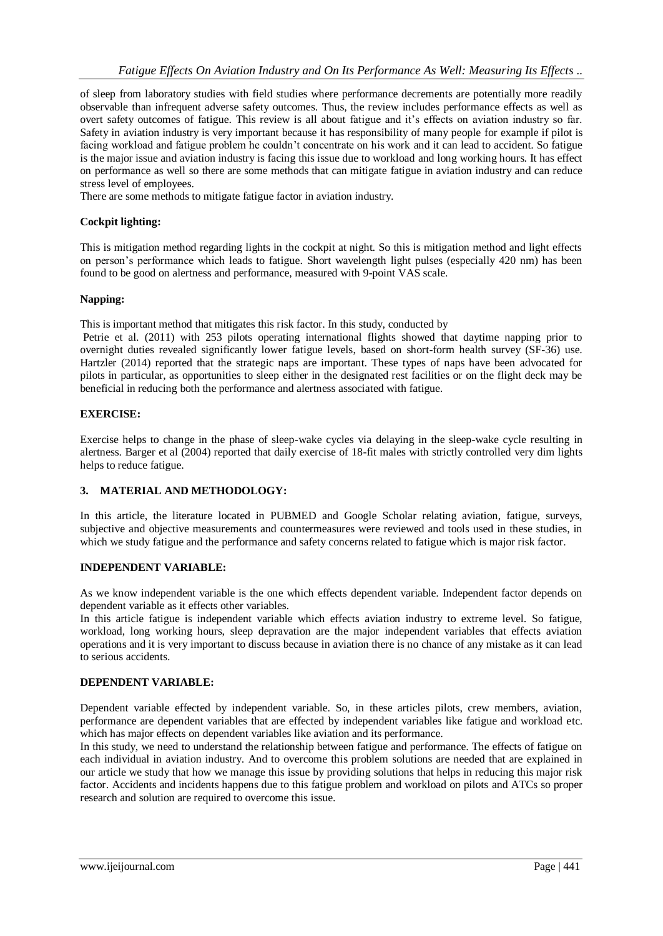of sleep from laboratory studies with field studies where performance decrements are potentially more readily observable than infrequent adverse safety outcomes. Thus, the review includes performance effects as well as overt safety outcomes of fatigue. This review is all about fatigue and it's effects on aviation industry so far. Safety in aviation industry is very important because it has responsibility of many people for example if pilot is facing workload and fatigue problem he couldn't concentrate on his work and it can lead to accident. So fatigue is the major issue and aviation industry is facing this issue due to workload and long working hours. It has effect on performance as well so there are some methods that can mitigate fatigue in aviation industry and can reduce stress level of employees.

There are some methods to mitigate fatigue factor in aviation industry.

#### **Cockpit lighting:**

This is mitigation method regarding lights in the cockpit at night. So this is mitigation method and light effects on person's performance which leads to fatigue. Short wavelength light pulses (especially 420 nm) has been found to be good on alertness and performance, measured with 9-point VAS scale.

#### **Napping:**

This is important method that mitigates this risk factor. In this study, conducted by

Petrie et al. (2011) with 253 pilots operating international flights showed that daytime napping prior to overnight duties revealed significantly lower fatigue levels, based on short-form health survey (SF-36) use. Hartzler (2014) reported that the strategic naps are important. These types of naps have been advocated for pilots in particular, as opportunities to sleep either in the designated rest facilities or on the flight deck may be beneficial in reducing both the performance and alertness associated with fatigue.

#### **EXERCISE:**

Exercise helps to change in the phase of sleep-wake cycles via delaying in the sleep-wake cycle resulting in alertness. Barger et al (2004) reported that daily exercise of 18-fit males with strictly controlled very dim lights helps to reduce fatigue.

#### **3. MATERIAL AND METHODOLOGY:**

In this article, the literature located in PUBMED and Google Scholar relating aviation, fatigue, surveys, subjective and objective measurements and countermeasures were reviewed and tools used in these studies, in which we study fatigue and the performance and safety concerns related to fatigue which is major risk factor.

#### **INDEPENDENT VARIABLE:**

As we know independent variable is the one which effects dependent variable. Independent factor depends on dependent variable as it effects other variables.

In this article fatigue is independent variable which effects aviation industry to extreme level. So fatigue, workload, long working hours, sleep depravation are the major independent variables that effects aviation operations and it is very important to discuss because in aviation there is no chance of any mistake as it can lead to serious accidents.

#### **DEPENDENT VARIABLE:**

Dependent variable effected by independent variable. So, in these articles pilots, crew members, aviation, performance are dependent variables that are effected by independent variables like fatigue and workload etc. which has major effects on dependent variables like aviation and its performance.

In this study, we need to understand the relationship between fatigue and performance. The effects of fatigue on each individual in aviation industry. And to overcome this problem solutions are needed that are explained in our article we study that how we manage this issue by providing solutions that helps in reducing this major risk factor. Accidents and incidents happens due to this fatigue problem and workload on pilots and ATCs so proper research and solution are required to overcome this issue.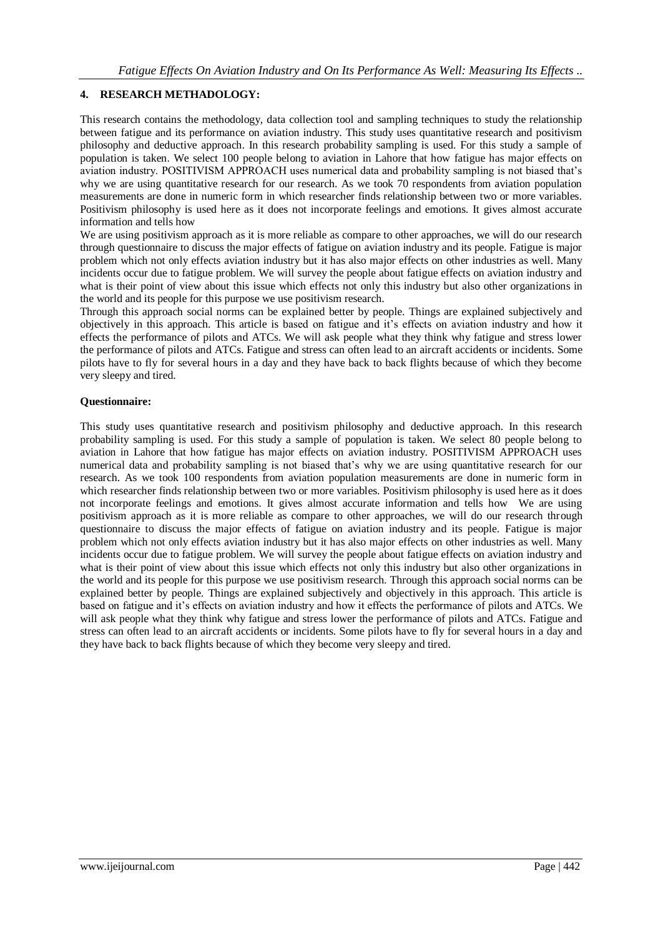## **4. RESEARCH METHADOLOGY:**

This research contains the methodology, data collection tool and sampling techniques to study the relationship between fatigue and its performance on aviation industry. This study uses quantitative research and positivism philosophy and deductive approach. In this research probability sampling is used. For this study a sample of population is taken. We select 100 people belong to aviation in Lahore that how fatigue has major effects on aviation industry. POSITIVISM APPROACH uses numerical data and probability sampling is not biased that's why we are using quantitative research for our research. As we took 70 respondents from aviation population measurements are done in numeric form in which researcher finds relationship between two or more variables. Positivism philosophy is used here as it does not incorporate feelings and emotions. It gives almost accurate information and tells how

We are using positivism approach as it is more reliable as compare to other approaches, we will do our research through questionnaire to discuss the major effects of fatigue on aviation industry and its people. Fatigue is major problem which not only effects aviation industry but it has also major effects on other industries as well. Many incidents occur due to fatigue problem. We will survey the people about fatigue effects on aviation industry and what is their point of view about this issue which effects not only this industry but also other organizations in the world and its people for this purpose we use positivism research.

Through this approach social norms can be explained better by people. Things are explained subjectively and objectively in this approach. This article is based on fatigue and it's effects on aviation industry and how it effects the performance of pilots and ATCs. We will ask people what they think why fatigue and stress lower the performance of pilots and ATCs. Fatigue and stress can often lead to an aircraft accidents or incidents. Some pilots have to fly for several hours in a day and they have back to back flights because of which they become very sleepy and tired.

#### **Questionnaire:**

This study uses quantitative research and positivism philosophy and deductive approach. In this research probability sampling is used. For this study a sample of population is taken. We select 80 people belong to aviation in Lahore that how fatigue has major effects on aviation industry. POSITIVISM APPROACH uses numerical data and probability sampling is not biased that's why we are using quantitative research for our research. As we took 100 respondents from aviation population measurements are done in numeric form in which researcher finds relationship between two or more variables. Positivism philosophy is used here as it does not incorporate feelings and emotions. It gives almost accurate information and tells how We are using positivism approach as it is more reliable as compare to other approaches, we will do our research through questionnaire to discuss the major effects of fatigue on aviation industry and its people. Fatigue is major problem which not only effects aviation industry but it has also major effects on other industries as well. Many incidents occur due to fatigue problem. We will survey the people about fatigue effects on aviation industry and what is their point of view about this issue which effects not only this industry but also other organizations in the world and its people for this purpose we use positivism research. Through this approach social norms can be explained better by people. Things are explained subjectively and objectively in this approach. This article is based on fatigue and it's effects on aviation industry and how it effects the performance of pilots and ATCs. We will ask people what they think why fatigue and stress lower the performance of pilots and ATCs. Fatigue and stress can often lead to an aircraft accidents or incidents. Some pilots have to fly for several hours in a day and they have back to back flights because of which they become very sleepy and tired.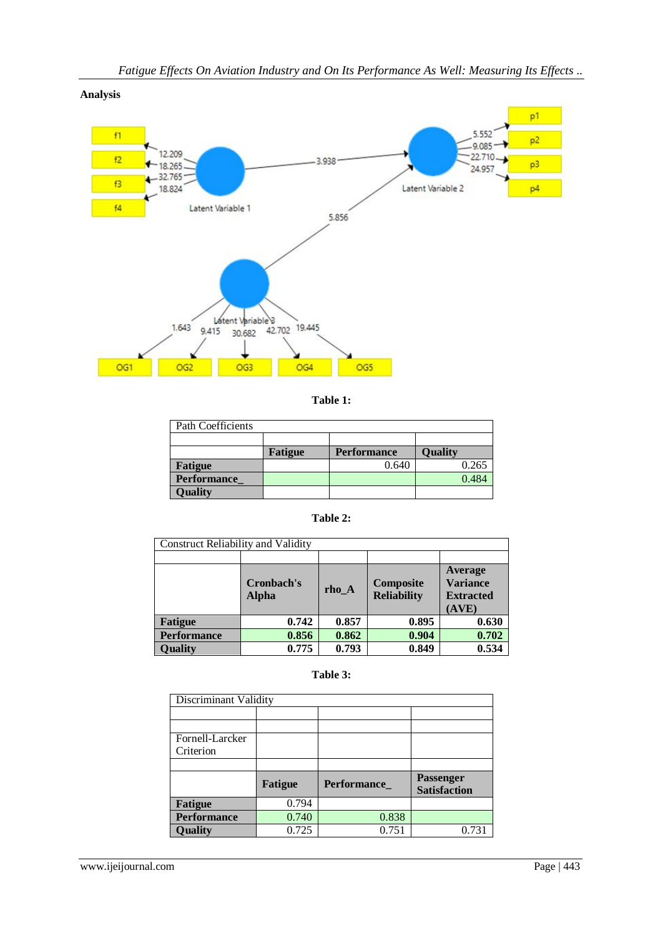

**Table 1:**

| <b>Path Coefficients</b> |                |                    |         |
|--------------------------|----------------|--------------------|---------|
|                          |                |                    |         |
|                          | <b>Fatigue</b> | <b>Performance</b> | Quality |
| <b>Fatigue</b>           |                | 0.640              | 0.265   |
| <b>Performance</b>       |                |                    | 0.484   |
| <b>Juality</b>           |                |                    |         |

| Table 2: |  |
|----------|--|
|----------|--|

| <b>Construct Reliability and Validity</b> |                            |       |                                 |                                                         |
|-------------------------------------------|----------------------------|-------|---------------------------------|---------------------------------------------------------|
|                                           |                            |       |                                 |                                                         |
|                                           | Cronbach's<br><b>Alpha</b> | rho_A | Composite<br><b>Reliability</b> | Average<br><b>Variance</b><br><b>Extracted</b><br>(AVE) |
| <b>Fatigue</b>                            | 0.742                      | 0.857 | 0.895                           | 0.630                                                   |
| <b>Performance</b>                        | 0.856                      | 0.862 | 0.904                           | 0.702                                                   |
| Quality                                   | 0.775                      | 0.793 | 0.849                           | 0.534                                                   |

## **Table 3:**

| Discriminant Validity |                |              |                     |
|-----------------------|----------------|--------------|---------------------|
|                       |                |              |                     |
|                       |                |              |                     |
| Fornell-Larcker       |                |              |                     |
| Criterion             |                |              |                     |
|                       |                |              |                     |
|                       | <b>Fatigue</b> | Performance_ | <b>Passenger</b>    |
|                       |                |              | <b>Satisfaction</b> |
| <b>Fatigue</b>        | 0.794          |              |                     |
| Performance           | 0.740          | 0.838        |                     |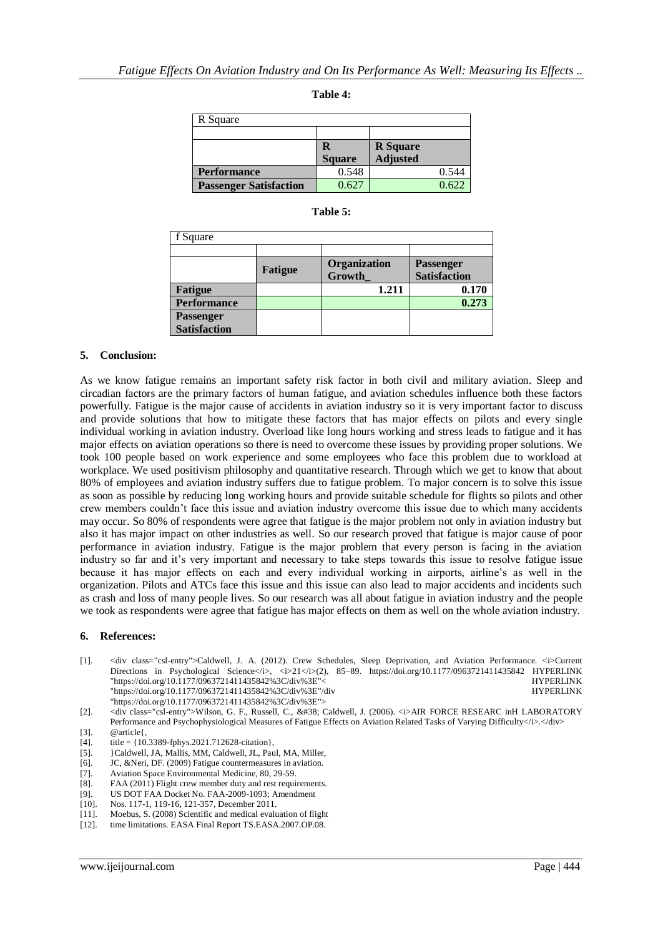**Table 4:**

| R Square           |               |                 |       |
|--------------------|---------------|-----------------|-------|
|                    |               |                 |       |
|                    | R             | <b>R</b> Square |       |
|                    | <b>Square</b> | <b>Adjusted</b> |       |
|                    |               |                 |       |
| <b>Performance</b> | 0.548         |                 | 0.544 |

| f Square            |                |              |                     |
|---------------------|----------------|--------------|---------------------|
|                     |                |              |                     |
|                     |                | Organization | <b>Passenger</b>    |
|                     | <b>Fatigue</b> | Growth       | <b>Satisfaction</b> |
| <b>Fatigue</b>      |                | 1.211        | 0.170               |
| <b>Performance</b>  |                |              | 0.273               |
| <b>Passenger</b>    |                |              |                     |
| <b>Satisfaction</b> |                |              |                     |

#### **5. Conclusion:**

As we know fatigue remains an important safety risk factor in both civil and military aviation. Sleep and circadian factors are the primary factors of human fatigue, and aviation schedules influence both these factors powerfully. Fatigue is the major cause of accidents in aviation industry so it is very important factor to discuss and provide solutions that how to mitigate these factors that has major effects on pilots and every single individual working in aviation industry. Overload like long hours working and stress leads to fatigue and it has major effects on aviation operations so there is need to overcome these issues by providing proper solutions. We took 100 people based on work experience and some employees who face this problem due to workload at workplace. We used positivism philosophy and quantitative research. Through which we get to know that about 80% of employees and aviation industry suffers due to fatigue problem. To major concern is to solve this issue as soon as possible by reducing long working hours and provide suitable schedule for flights so pilots and other crew members couldn't face this issue and aviation industry overcome this issue due to which many accidents may occur. So 80% of respondents were agree that fatigue is the major problem not only in aviation industry but also it has major impact on other industries as well. So our research proved that fatigue is major cause of poor performance in aviation industry. Fatigue is the major problem that every person is facing in the aviation industry so far and it's very important and necessary to take steps towards this issue to resolve fatigue issue because it has major effects on each and every individual working in airports, airline's as well in the organization. Pilots and ATCs face this issue and this issue can also lead to major accidents and incidents such as crash and loss of many people lives. So our research was all about fatigue in aviation industry and the people we took as respondents were agree that fatigue has major effects on them as well on the whole aviation industry.

#### **6. References:**

- [1]. <div class="csl-entry">Caldwell, J. A. (2012). Crew Schedules, Sleep Deprivation, and Aviation Performance. <i>Current Directions in Psychological Science</i>> <i>21</i></i>2(2), 85–89. https://doi.org/10.1177/0963721411435842 HYPERLINK ["https://doi.org/10.1177/0963721411435842%3C/div%3E"< HYPERLINK](https://doi.org/10.1177/0963721411435842%3C/div%3E)  ["https://doi.org/10.1177/0963721411435842%3C/div%3E"/div HYPERLINK](https://doi.org/10.1177/0963721411435842%3C/div%3E)  ["https://doi.org/10.1177/0963721411435842%3C/div%3E">](https://doi.org/10.1177/0963721411435842%3C/div%3E)
- [2]. <div class="csl-entry">Wilson, G. F., Russell, C., &#38; Caldwell, J. (2006). <i>AIR FORCE RESEARC inH LABORATORY Performance and Psychophysiological Measures of Fatigue Effects on Aviation Related Tasks of Varying Difficulty</i>.</div>
- [3]. @article{,
- [4].  $title = \{10.3389-fphys.2021.712628\text{-citation}\},$
- [5]. }Caldwell, JA, Mallis, MM, Caldwell, JL, Paul, MA, Miller,
- [6]. JC, &Neri, DF. (2009) Fatigue countermeasures in aviation.
- [7]. Aviation Space Environmental Medicine, 80, 29-59.
- [8]. FAA (2011) Flight crew member duty and rest requirements.
- [9]. US DOT FAA Docket No. FAA-2009-1093; Amendment
- [10]. Nos. 117-1, 119-16, 121-357, December 2011.
- [11]. Moebus, S. (2008) Scientific and medical evaluation of flight
- [12]. time limitations. EASA Final Report TS.EASA.2007.OP.08.